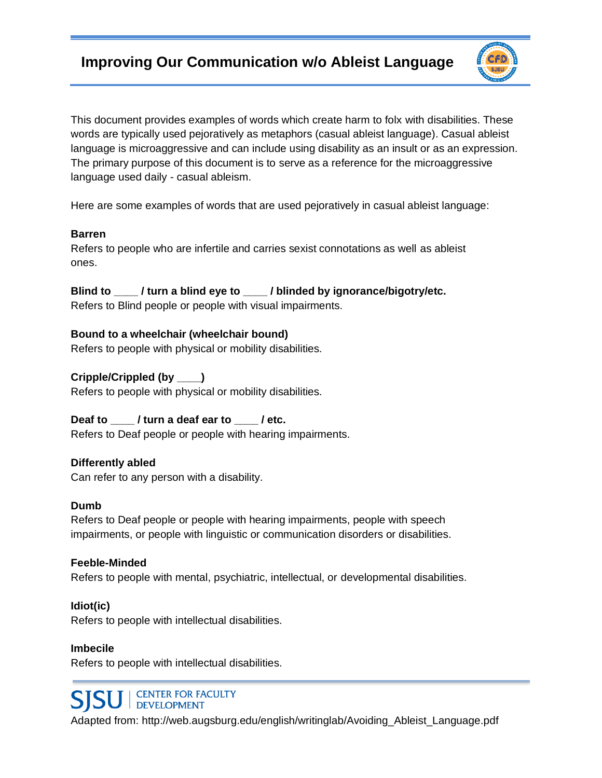

This document provides examples of words which create harm to folx with disabilities. These words are typically used pejoratively as metaphors (casual ableist language). Casual ableist language is microaggressive and can include using disability as an insult or as an expression. The primary purpose of this document is to serve as a reference for the microaggressive language used daily - casual ableism.

Here are some examples of words that are used pejoratively in casual ableist language:

#### **Barren**

Refers to people who are infertile and carries sexist connotations as well as ableist ones.

**Blind to \_\_\_\_ / turn a blind eye to \_\_\_\_ / blinded by ignorance/bigotry/etc.** Refers to Blind people or people with visual impairments.

## **Bound to a wheelchair (wheelchair bound)**

Refers to people with physical or mobility disabilities.

**Cripple/Crippled (by \_\_\_\_)** Refers to people with physical or mobility disabilities.

## **Deaf to \_\_\_\_ / turn a deaf ear to \_\_\_\_ / etc.**

Refers to Deaf people or people with hearing impairments.

#### **Differently abled**

Can refer to any person with a disability.

#### **Dumb**

Refers to Deaf people or people with hearing impairments, people with speech impairments, or people with linguistic or communication disorders or disabilities.

#### **Feeble-Minded**

Refers to people with mental, psychiatric, intellectual, or developmental disabilities.

#### **Idiot(ic)**

Refers to people with intellectual disabilities.

#### **Imbecile**

Refers to people with intellectual disabilities.

## **CENTER FOR FACULTY**

**DEVELOPMENT** 

Adapted from: http://web.augsburg.edu/english/writinglab/Avoiding\_Ableist\_Language.pdf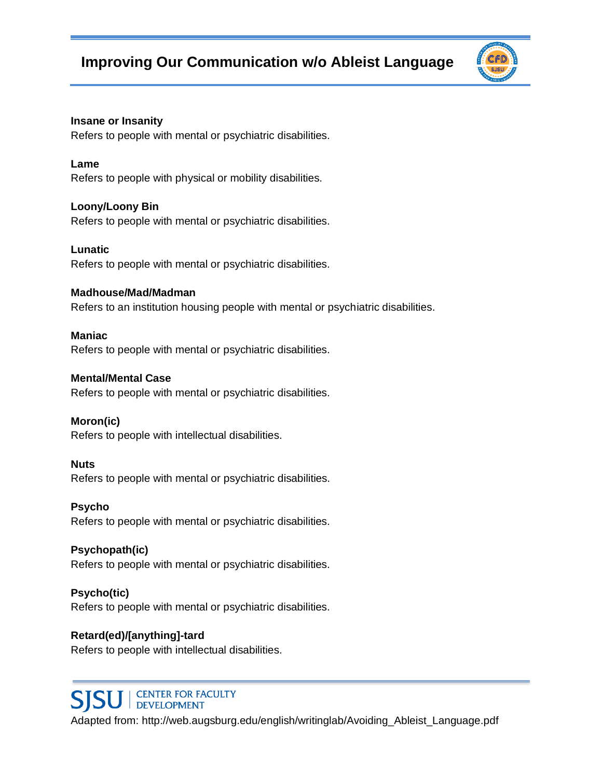

#### **Insane or Insanity**

Refers to people with mental or psychiatric disabilities.

#### **Lame**

Refers to people with physical or mobility disabilities.

#### **Loony/Loony Bin**

Refers to people with mental or psychiatric disabilities.

#### **Lunatic**

Refers to people with mental or psychiatric disabilities.

#### **Madhouse/Mad/Madman**

Refers to an institution housing people with mental or psychiatric disabilities.

#### **Maniac**

Refers to people with mental or psychiatric disabilities.

#### **Mental/Mental Case**

Refers to people with mental or psychiatric disabilities.

## **Moron(ic)**

Refers to people with intellectual disabilities.

#### **Nuts**

Refers to people with mental or psychiatric disabilities.

#### **Psycho**

Refers to people with mental or psychiatric disabilities.

## **Psychopath(ic)**

Refers to people with mental or psychiatric disabilities.

## **Psycho(tic)**

Refers to people with mental or psychiatric disabilities.

## **Retard(ed)/[anything]-tard**

Refers to people with intellectual disabilities.

## **CENTER FOR FACULTY DEVELOPMENT**

Adapted from: http://web.augsburg.edu/english/writinglab/Avoiding\_Ableist\_Language.pdf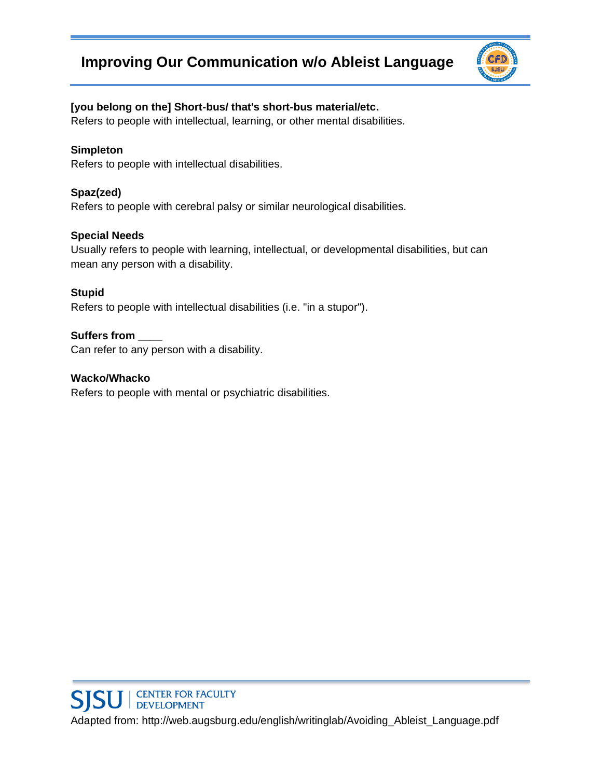

#### **[you belong on the] Short-bus/ that's short-bus material/etc.**

Refers to people with intellectual, learning, or other mental disabilities.

#### **Simpleton**

Refers to people with intellectual disabilities.

## **Spaz(zed)**

Refers to people with cerebral palsy or similar neurological disabilities.

## **Special Needs**

Usually refers to people with learning, intellectual, or developmental disabilities, but can mean any person with a disability.

## **Stupid**

Refers to people with intellectual disabilities (i.e. "in a stupor").

## **Suffers from \_\_\_\_**

Can refer to any person with a disability.

#### **Wacko/Whacko**

Refers to people with mental or psychiatric disabilities.